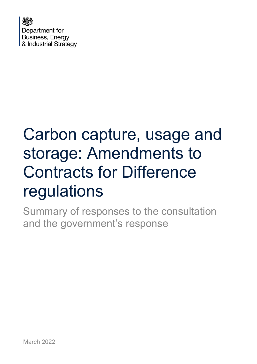

# Carbon capture, usage and storage: Amendments to Contracts for Difference regulations

Summary of responses to the consultation and the government's response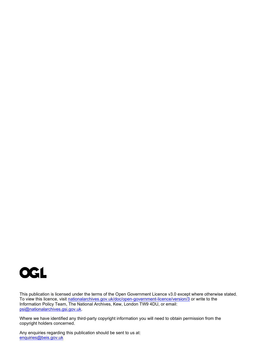

This publication is licensed under the terms of the Open Government Licence v3.0 except where otherwise stated. To view this licence, visit <u>nationalarchives.gov.uk/doc/open-government-licence/version/3</u> or write to the Information Policy Team, The National Archives, Kew, London TW9 4DU, or email: [psi@nationalarchives.gsi.gov.uk.](mailto:psi@nationalarchives.gsi.gov.uk)

Where we have identified any third-party copyright information you will need to obtain permission from the copyright holders concerned.

Any enquiries regarding this publication should be sent to us at: [enquiries@beis.gov.uk](mailto:enquiries@beis.gov.uk)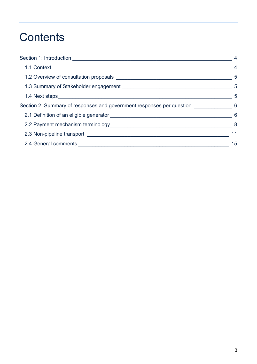## **Contents**

|                                                                                     | $\overline{4}$ |
|-------------------------------------------------------------------------------------|----------------|
|                                                                                     | $-5$           |
|                                                                                     | $-5$           |
|                                                                                     | -5             |
| Section 2: Summary of responses and government responses per question ____________6 |                |
|                                                                                     |                |
|                                                                                     |                |
|                                                                                     | 11             |
|                                                                                     | 15             |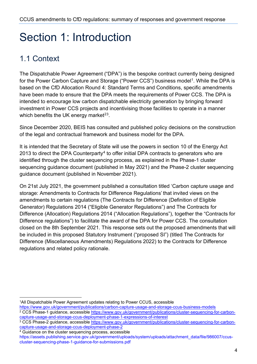## <span id="page-3-0"></span>Section 1: Introduction

## <span id="page-3-1"></span>1.1 Context

The Dispatchable Power Agreement ("DPA") is the bespoke contract currently being designed for the Power Carbon Capture and Storage ("Power CCS") business model<sup>1</sup>. While the DPA is based on the CfD Allocation Round 4: Standard Terms and Conditions, specific amendments have been made to ensure that the DPA meets the requirements of Power CCS. The DPA is intended to encourage low carbon dispatchable electricity generation by bringing forward investment in Power CCS projects and incentivising those facilities to operate in a manner which benefits the UK energy market $23$  $23$ .

Since December 2020, BEIS has consulted and published policy decisions on the construction of the legal and contractual framework and business model for the DPA.

It is intended that the Secretary of State will use the powers in section 10 of the Energy Act 2013 to direct the DPA Counterparty<sup>[4](#page-3-5)</sup> to offer initial DPA contracts to generators who are identified through the cluster sequencing process, as explained in the Phase-1 cluster sequencing guidance document (published in May 2021) and the Phase-2 cluster sequencing guidance document (published in November 2021).

On 21st July 2021, the government published a consultation titled 'Carbon capture usage and storage: Amendments to Contracts for Difference Regulations' that invited views on the amendments to certain regulations (The Contracts for Difference (Definition of Eligible Generator) Regulations 2014 ("Eligible Generator Regulations") and The Contracts for Difference (Allocation) Regulations 2014 ("Allocation Regulations"), together the "Contracts for Difference regulations") to facilitate the award of the DPA for Power CCS. The consultation closed on the 8th September 2021. This response sets out the proposed amendments that will be included in this proposed Statutory Instrument ("proposed SI") (titled The Contracts for Difference (Miscellaneous Amendments) Regulations 2022) to the Contracts for Difference regulations and related policy rationale.

<span id="page-3-2"></span><sup>1</sup>All Dispatchable Power Agreement updates relating to Power CCUS, accessible

<https://www.gov.uk/government/publications/carbon-capture-usage-and-storage-ccus-business-models>

<span id="page-3-3"></span><sup>&</sup>lt;sup>2</sup> CCS Phase-1 guidance, accessible [https://www.gov.uk/government/publications/cluster-sequencing-for-carbon](https://www.gov.uk/government/publications/cluster-sequencing-for-carbon-capture-usage-and-storage-ccus-deployment-phase-1-expressions-of-interest)[capture-usage-and-storage-ccus-deployment-phase-1-expressions-of-interest](https://www.gov.uk/government/publications/cluster-sequencing-for-carbon-capture-usage-and-storage-ccus-deployment-phase-1-expressions-of-interest)

<span id="page-3-4"></span><sup>3</sup> CCS Phase-2 guidance, accessible [https://www.gov.uk/government/publications/cluster-sequencing-for-carbon](https://www.gov.uk/government/publications/cluster-sequencing-for-carbon-capture-usage-and-storage-ccus-deployment-phase-2)[capture-usage-and-storage-ccus-deployment-phase-2](https://www.gov.uk/government/publications/cluster-sequencing-for-carbon-capture-usage-and-storage-ccus-deployment-phase-2)

<span id="page-3-5"></span><sup>&</sup>lt;sup>4</sup> Guidance on the cluster sequencing process, accessible

https://assets.publishing.service.gov.uk/government/uploads/system/uploads/attachment\_data/file/986007/ccuscluster-sequencing-phase-1-guidance-for-submissions.pdf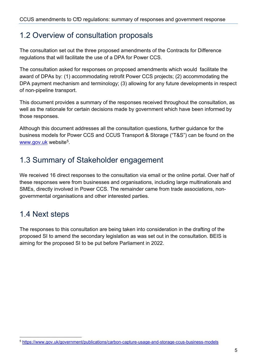### <span id="page-4-0"></span>1.2 Overview of consultation proposals

The consultation set out the three proposed amendments of the Contracts for Difference regulations that will facilitate the use of a DPA for Power CCS.

The consultation asked for responses on proposed amendments which would facilitate the award of DPAs by: (1) accommodating retrofit Power CCS projects; (2) accommodating the DPA payment mechanism and terminology; (3) allowing for any future developments in respect of non-pipeline transport.

This document provides a summary of the responses received throughout the consultation, as well as the rationale for certain decisions made by government which have been informed by those responses.

Although this document addresses all the consultation questions, further guidance for the business models for Power CCS and CCUS Transport & Storage ("T&S") can be found on the [www.gov.uk](http://www.gov.uk/) website[5](#page-4-3).

## <span id="page-4-1"></span>1.3 Summary of Stakeholder engagement

We received 16 direct responses to the consultation via email or the online portal. Over half of these responses were from businesses and organisations, including large multinationals and SMEs, directly involved in Power CCS. The remainder came from trade associations, nongovernmental organisations and other interested parties.

## <span id="page-4-2"></span>1.4 Next steps

The responses to this consultation are being taken into consideration in the drafting of the proposed SI to amend the secondary legislation as was set out in the consultation. BEIS is aiming for the proposed SI to be put before Parliament in 2022.

<span id="page-4-3"></span><sup>5</sup> <https://www.gov.uk/government/publications/carbon-capture-usage-and-storage-ccus-business-models>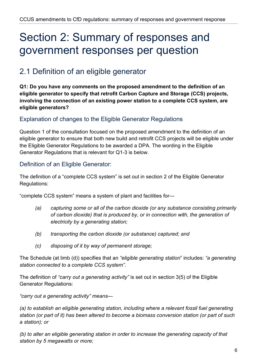## <span id="page-5-0"></span>Section 2: Summary of responses and government responses per question

### <span id="page-5-1"></span>2.1 Definition of an eligible generator

**Q1: Do you have any comments on the proposed amendment to the definition of an eligible generator to specify that retrofit Carbon Capture and Storage (CCS) projects, involving the connection of an existing power station to a complete CCS system, are eligible generators?**

#### Explanation of changes to the Eligible Generator Regulations

Question 1 of the consultation focused on the proposed amendment to the definition of an eligible generator to ensure that both new build and retrofit CCS projects will be eligible under the Eligible Generator Regulations to be awarded a DPA. The wording in the Eligible Generator Regulations that is relevant for Q1-3 is below.

#### Definition of an Eligible Generator:

The definition of a "complete CCS system" is set out in section 2 of the Eligible Generator Regulations:

"complete CCS system" means a system of plant and facilities for—

- *(a) capturing some or all of the carbon dioxide (or any substance consisting primarily of carbon dioxide) that is produced by, or in connection with, the generation of electricity by a generating station;*
- *(b) transporting the carbon dioxide (or substance) captured; and*
- *(c) disposing of it by way of permanent storage;*

The Schedule (at limb (d)) specifies that an *"eligible generating station*" includes: *"a generating station connected to a complete CCS system"*.

The definition of *"carry out a generating activity"* is set out in section 3(5) of the Eligible Generator Regulations:

*"carry out a generating activity" means—*

*(a) to establish an eligible generating station, including where a relevant fossil fuel generating station (or part of it) has been altered to become a biomass conversion station (or part of such a station); or*

*(b) to alter an eligible generating station in order to increase the generating capacity of that station by 5 megawatts or more;*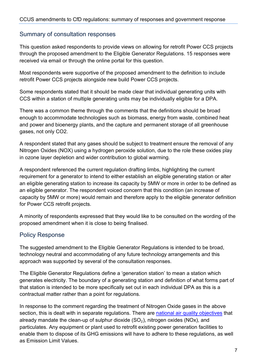#### Summary of consultation responses

This question asked respondents to provide views on allowing for retrofit Power CCS projects through the proposed amendment to the Eligible Generator Regulations. 15 responses were received via email or through the online portal for this question.

Most respondents were supportive of the proposed amendment to the definition to include retrofit Power CCS projects alongside new build Power CCS projects.

Some respondents stated that it should be made clear that individual generating units with CCS within a station of multiple generating units may be individually eligible for a DPA.

There was a common theme through the comments that the definitions should be broad enough to accommodate technologies such as biomass, energy from waste, combined heat and power and bioenergy plants, and the capture and permanent storage of all greenhouse gases, not only CO2.

A respondent stated that any gases should be subject to treatment ensure the removal of any Nitrogen Oxides (NOX) using a hydrogen peroxide solution, due to the role these oxides play in ozone layer depletion and wider contribution to global warming.

A respondent referenced the current regulation drafting limbs, highlighting the current requirement for a generator to intend to either establish an eligible generating station or alter an eligible generating station to increase its capacity by 5MW or more in order to be defined as an eligible generator. The respondent voiced concern that this condition (an increase of capacity by 5MW or more) would remain and therefore apply to the eligible generator definition for Power CCS retrofit projects.

A minority of respondents expressed that they would like to be consulted on the wording of the proposed amendment when it is close to being finalised.

#### Policy Response

The suggested amendment to the Eligible Generator Regulations is intended to be broad, technology neutral and accommodating of any future technology arrangements and this approach was supported by several of the consultation responses.

The Eligible Generator Regulations define a 'generation station' to mean a station which generates electricity. The boundary of a generating station and definition of what forms part of that station is intended to be more specifically set out in each individual DPA as this is a contractual matter rather than a point for regulations.

In response to the comment regarding the treatment of Nitrogen Oxide gases in the above section, this is dealt with in separate regulations. There are [national air quality objectives](https://eur02.safelinks.protection.outlook.com/?url=https%3A%2F%2Fuk-air.defra.gov.uk%2Fassets%2Fdocuments%2FAir_Quality_Objectives_Update.pdf&data=04%7C01%7CNatasha.Beedell2%40beis.gov.uk%7C200286c42d0340ffe22608d98326e5eb%7Ccbac700502c143ebb497e6492d1b2dd8%7C0%7C0%7C637685025344021676%7CUnknown%7CTWFpbGZsb3d8eyJWIjoiMC4wLjAwMDAiLCJQIjoiV2luMzIiLCJBTiI6Ik1haWwiLCJXVCI6Mn0%3D%7C1000&sdata=GOioZRNVs3qgURj1l%2BYaLu6u7wbeXK%2Bs1NE6BTM8T6o%3D&reserved=0) that already mandate the clean-up of sulphur dioxide  $(SO<sub>2</sub>)$ , nitrogen oxides (NOx), and particulates. Any equipment or plant used to retrofit existing power generation facilities to enable them to dispose of its GHG emissions will have to adhere to these regulations, as well as Emission Limit Values.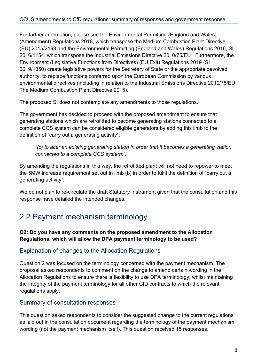For further information, please see the Environmental Permitting (England and Wales) (Amendment) Regulations 2018, which transpose the Medium Combustion Plant Directive (EU) 2015/2193 and the Environmental Permitting (England and Wales) Regulations 2016, SI 2016/1154, which transpose the Industrial Emissions Directive 2010/75/EU . Furthermore, the Environment (Legislative Functions from Directives) (EU Exit) Regulations 2019 (SI 2019/1350) create legislative powers for the Secretary of State or the appropriate devolved authority, to replace functions conferred upon the European Commission by various environmental directives (including in relation to the Industrial Emissions Directive 2010/75/EU, The Medium Combustion Plant Directive 2015).

The proposed SI does not contemplate any amendments to those regulations.

The government has decided to proceed with the proposed amendment to ensure that generating stations which are retrofitted to become generating stations connected to a complete CCS system can be considered eligible generators by adding this limb to the definition of "carry out a generating activity":

*"(c) to alter an existing generating station in order that it becomes a generating station connected to a complete CCS system;".*

By amending the regulations in this way, the retrofitted plant will not need to repower to meet the 5MW increase requirement set out in limb (b) in order to fulfil the definition of "carry out a generating activity".

We do not plan to re-circulate the draft Statutory Instrument given that the consultation and this response have detailed the intended changes.

## <span id="page-7-0"></span>2.2 Payment mechanism terminology

#### **Q2: Do you have any comments on the proposed amendment to the Allocation Regulations, which will allow the DPA payment terminology to be used?**

#### Explanation of changes to the Allocation Regulations

Question 2 was focused on the terminology concerned with the payment mechanism. The proposal asked respondents to comment on the change to amend certain wording in the Allocation Regulations to ensure there is flexibility to use DPA terminology, whilst maintaining the integrity of the payment terminology for all other CfD contracts to which the relevant regulations apply.

#### Summary of consultation responses

This question asked respondents to consider the suggested change to the current regulations as laid out in the consultation document regarding the terminology of the payment mechanism wording (not the payment mechanism itself). This question received 15 responses.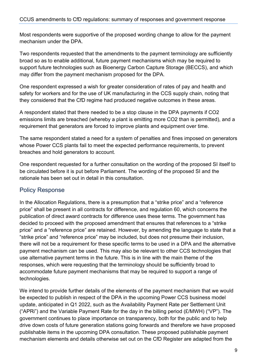Most respondents were supportive of the proposed wording change to allow for the payment mechanism under the DPA.

Two respondents requested that the amendments to the payment terminology are sufficiently broad so as to enable additional, future payment mechanisms which may be required to support future technologies such as Bioenergy Carbon Capture Storage (BECCS), and which may differ from the payment mechanism proposed for the DPA.

One respondent expressed a wish for greater consideration of rates of pay and health and safety for workers and for the use of UK manufacturing in the CCS supply chain, noting that they considered that the CfD regime had produced negative outcomes in these areas.

A respondent stated that there needed to be a stop clause in the DPA payments if CO2 emissions limits are breached (whereby a plant is emitting more CO2 than is permitted), and a requirement that generators are forced to improve plants and equipment over time.

The same respondent stated a need for a system of penalties and fines imposed on generators whose Power CCS plants fail to meet the expected performance requirements, to prevent breaches and hold generators to account.

One respondent requested for a further consultation on the wording of the proposed SI itself to be circulated before it is put before Parliament. The wording of the proposed SI and the rationale has been set out in detail in this consultation.

#### Policy Response

In the Allocation Regulations, there is a presumption that a "strike price" and a "reference price" shall be present in all contracts for difference, and regulation 60, which concerns the publication of direct award contracts for difference uses these terms. The government has decided to proceed with the proposed amendment that ensures that references to a "strike price" and a "reference price" are retained. However, by amending the language to state that a "strike price" and "reference price" may be included, but does not presume their inclusion, there will not be a requirement for these specific terms to be used in a DPA and the alternative payment mechanism can be used. This may also be relevant to other CCS technologies that use alternative payment terms in the future. This is in line with the main theme of the responses, which were requesting that the terminology should be sufficiently broad to accommodate future payment mechanisms that may be required to support a range of technologies.

We intend to provide further details of the elements of the payment mechanism that we would be expected to publish in respect of the DPA in the upcoming Power CCS business model update, anticipated in Q1 2022, such as the Availability Payment Rate per Settlement Unit ("APRi") and the Variable Payment Rate for the day in the billing period  $(E/MWH)$  ("VP"). The government continues to place importance on transparency, both for the public and to help drive down costs of future generation stations going forwards and therefore we have proposed publishable items in the upcoming DPA consultation. These proposed publishable payment mechanism elements and details otherwise set out on the CfD Register are adapted from the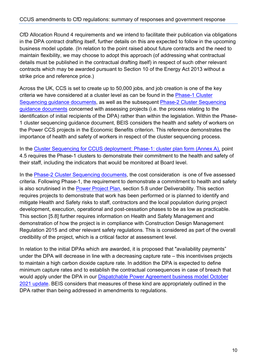CfD Allocation Round 4 requirements and we intend to facilitate their publication via obligations in the DPA contract drafting itself, further details on this are expected to follow in the upcoming business model update. (In relation to the point raised about future contracts and the need to maintain flexibility, we may choose to adopt this approach (of addressing what contractual details must be published in the contractual drafting itself) in respect of such other relevant contracts which may be awarded pursuant to Section 10 of the Energy Act 2013 without a strike price and reference price.)

Across the UK, CCS is set to create up to 50,000 jobs, and job creation is one of the key criteria we have considered at a cluster level as can be found in the Phase-1 Cluster [Sequencing guidance documents,](https://www.gov.uk/government/publications/cluster-sequencing-for-carbon-capture-usage-and-storage-ccus-deployment-phase-2) as well as the subsequent [Phase-2 Cluster Sequencing](https://www.gov.uk/government/publications/cluster-sequencing-for-carbon-capture-usage-and-storage-ccus-deployment-phase-2)  [guidance documents](https://www.gov.uk/government/publications/cluster-sequencing-for-carbon-capture-usage-and-storage-ccus-deployment-phase-2) concerned with assessing projects (i.e. the process relating to the identification of initial recipients of the DPA) rather than within the legislation. Within the Phase-1 cluster sequencing guidance document, BEIS considers the health and safety of workers on the Power CCS projects in the Economic Benefits criterion. This reference demonstrates the importance of health and safety of workers in respect of the cluster sequencing process.

In the [Cluster Sequencing for CCUS deployment: Phase-1: cluster plan form \(Annex A\),](https://assets.publishing.service.gov.uk/government/uploads/system/uploads/attachment_data/file/985971/ccus-cluster-sequencing-phase-1-annex-a.docx) point 4.5 requires the Phase-1 clusters to demonstrate their commitment to the health and safety of their staff, including the indicators that would be monitored at Board level.

In the [Phase-2 Cluster Sequencing documents,](https://www.gov.uk/government/publications/cluster-sequencing-for-carbon-capture-usage-and-storage-ccus-deployment-phase-2) the cost consideration is one of five assessed criteria. Following Phase-1, the requirement to demonstrate a commitment to health and safety is also scrutinised in the [Power Project Plan,](https://assets.publishing.service.gov.uk/government/uploads/system/uploads/attachment_data/file/1045594/ccus-cluster-sequencing-phase-2-annex-a1-power-project-plan.docx) section 5.8 under Deliverability. This section requires projects to demonstrate that work has been performed or is planned to identify and mitigate Health and Safety risks to staff, contractors and the local population during project development, execution, operational and post-cessation phases to be as low as practicable. This section [5.8] further requires information on Health and Safety Management and demonstration of how the project is in compliance with Construction Design Management Regulation 2015 and other relevant safety regulations. This is considered as part of the overall credibility of the project, which is a critical factor at assessment level.

In relation to the initial DPAs which are awarded, it is proposed that "availability payments" under the DPA will decrease in line with a decreasing capture rate – this incentivises projects to maintain a high carbon dioxide capture rate. In addition the DPA is expected to define minimum capture rates and to establish the contractual consequences in case of breach that would apply under the DPA in our [Dispatchable Power Agreement business model October](https://www.gov.uk/government/publications/carbon-capture-usage-and-storage-ccus-business-models)  [2021 update.](https://www.gov.uk/government/publications/carbon-capture-usage-and-storage-ccus-business-models) BEIS considers that measures of these kind are appropriately outlined in the DPA rather than being addressed in amendments to regulations.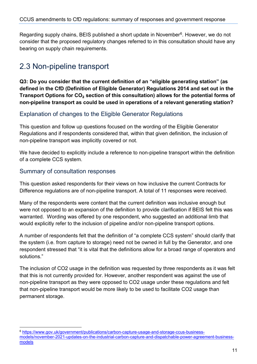Regarding supply chains, BEIS published a short update in November<sup>6</sup>. However, we do not consider that the proposed regulatory changes referred to in this consultation should have any bearing on supply chain requirements.

## <span id="page-10-0"></span>2.3 Non-pipeline transport

**Q3: Do you consider that the current definition of an "eligible generating station" (as defined in the CfD (Definition of Eligible Generator) Regulations 2014 and set out in the Transport Options for CO**₂ **section of this consultation) allows for the potential forms of non-pipeline transport as could be used in operations of a relevant generating station?**

#### Explanation of changes to the Eligible Generator Regulations

This question and follow up questions focused on the wording of the Eligible Generator Regulations and if respondents considered that, within that given definition, the inclusion of non-pipeline transport was implicitly covered or not.

We have decided to explicitly include a reference to non-pipeline transport within the definition of a complete CCS system.

#### Summary of consultation responses

This question asked respondents for their views on how inclusive the current Contracts for Difference regulations are of non-pipeline transport. A total of 11 responses were received.

Many of the respondents were content that the current definition was inclusive enough but were not opposed to an expansion of the definition to provide clarification if BEIS felt this was warranted. Wording was offered by one respondent, who suggested an additional limb that would explicitly refer to the inclusion of pipeline and/or non-pipeline transport options.

A number of respondents felt that the definition of "a complete CCS system" should clarify that the system (i.e. from capture to storage) need not be owned in full by the Generator, and one respondent stressed that "it is vital that the definitions allow for a broad range of operators and solutions."

The inclusion of CO2 usage in the definition was requested by three respondents as it was felt that this is not currently provided for. However, another respondent was against the use of non-pipeline transport as they were opposed to CO2 usage under these regulations and felt that non-pipeline transport would be more likely to be used to facilitate CO2 usage than permanent storage.

<span id="page-10-1"></span><sup>6</sup> [https://www.gov.uk/government/publications/carbon-capture-usage-and-storage-ccus-business](https://eur02.safelinks.protection.outlook.com/?url=https%3A%2F%2Fwww.gov.uk%2Fgovernment%2Fpublications%2Fcarbon-capture-usage-and-storage-ccus-business-models%2Fnovember-2021-updates-on-the-industrial-carbon-capture-and-dispatchable-power-agreement-business-models&data=04%7C01%7CNatasha.Beedell2%40beis.gov.uk%7C3e73308661cf46fa73f308d9d1efdb32%7Ccbac700502c143ebb497e6492d1b2dd8%7C0%7C0%7C637771650361107806%7CUnknown%7CTWFpbGZsb3d8eyJWIjoiMC4wLjAwMDAiLCJQIjoiV2luMzIiLCJBTiI6Ik1haWwiLCJXVCI6Mn0%3D%7C3000&sdata=QUw4bpRpL0g2%2Bc%2B8d4%2F1KTW2EpflavJZ5cC%2FR0EMuGs%3D&reserved=0)[models/november-2021-updates-on-the-industrial-carbon-capture-and-dispatchable-power-agreement-business](https://eur02.safelinks.protection.outlook.com/?url=https%3A%2F%2Fwww.gov.uk%2Fgovernment%2Fpublications%2Fcarbon-capture-usage-and-storage-ccus-business-models%2Fnovember-2021-updates-on-the-industrial-carbon-capture-and-dispatchable-power-agreement-business-models&data=04%7C01%7CNatasha.Beedell2%40beis.gov.uk%7C3e73308661cf46fa73f308d9d1efdb32%7Ccbac700502c143ebb497e6492d1b2dd8%7C0%7C0%7C637771650361107806%7CUnknown%7CTWFpbGZsb3d8eyJWIjoiMC4wLjAwMDAiLCJQIjoiV2luMzIiLCJBTiI6Ik1haWwiLCJXVCI6Mn0%3D%7C3000&sdata=QUw4bpRpL0g2%2Bc%2B8d4%2F1KTW2EpflavJZ5cC%2FR0EMuGs%3D&reserved=0)[models](https://eur02.safelinks.protection.outlook.com/?url=https%3A%2F%2Fwww.gov.uk%2Fgovernment%2Fpublications%2Fcarbon-capture-usage-and-storage-ccus-business-models%2Fnovember-2021-updates-on-the-industrial-carbon-capture-and-dispatchable-power-agreement-business-models&data=04%7C01%7CNatasha.Beedell2%40beis.gov.uk%7C3e73308661cf46fa73f308d9d1efdb32%7Ccbac700502c143ebb497e6492d1b2dd8%7C0%7C0%7C637771650361107806%7CUnknown%7CTWFpbGZsb3d8eyJWIjoiMC4wLjAwMDAiLCJQIjoiV2luMzIiLCJBTiI6Ik1haWwiLCJXVCI6Mn0%3D%7C3000&sdata=QUw4bpRpL0g2%2Bc%2B8d4%2F1KTW2EpflavJZ5cC%2FR0EMuGs%3D&reserved=0)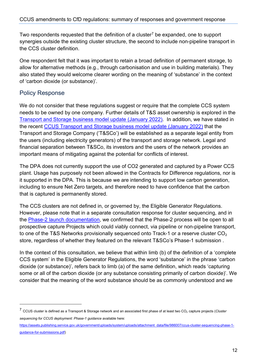Two respondents requested that the definition of a cluster<sup>7</sup> be expanded, one to support synergies outside the existing cluster structure, the second to include non-pipeline transport in the CCS cluster definition.

One respondent felt that it was important to retain a broad definition of permanent storage, to allow for alternative methods (e.g., through carbonisation and use in building materials). They also stated they would welcome clearer wording on the meaning of 'substance' in the context of 'carbon dioxide (or substance)'.

#### Policy Response

We do not consider that these regulations suggest or require that the complete CCS system needs to be owned by one company. Further details of T&S asset ownership is explored in the [Transport and Storage business model update \(January 2022\).](https://www.gov.uk/government/publications/carbon-capture-usage-and-storage-ccus-business-models) In addition, we have stated in the recent [CCUS Transport and Storage business model update \(January 2022\)](https://www.gov.uk/government/publications/carbon-capture-usage-and-storage-ccus-business-models) that the Transport and Storage Company ('T&SCo') will be established as a separate legal entity from the users (including electricity generators) of the transport and storage network. Legal and financial separation between T&SCo, its investors and the users of the network provides an important means of mitigating against the potential for conflicts of interest.

The DPA does not currently support the use of CO2 generated and captured by a Power CCS plant. Usage has purposely not been allowed in the Contracts for Difference regulations, nor is it supported in the DPA. This is because we are intending to support low carbon generation, including to ensure Net Zero targets, and therefore need to have confidence that the carbon that is captured is permanently stored.

The CCS clusters are not defined in, or governed by, the Eligible Generator Regulations. However, please note that in a separate consultation response for cluster sequencing, and in the [Phase-2 launch documentation,](https://www.gov.uk/government/publications/cluster-sequencing-for-carbon-capture-usage-and-storage-ccus-deployment-phase-2) we confirmed that the Phase-2 process will be open to all prospective capture Projects which could viably connect, via pipeline or non-pipeline transport, to one of the T&S Networks provisionally sequenced onto Track-1 or a reserve cluster  $CO<sub>2</sub>$ store, regardless of whether they featured on the relevant T&SCo's Phase-1 submission .

In the context of this consultation, we believe that within limb (b) of the definition of a 'complete CCS system' in the Eligible Generator Regulations, the word 'substance' in the phrase 'carbon dioxide (or substance)', refers back to limb (a) of the same definition, which reads 'capturing some or all of the carbon dioxide (or any substance consisting primarily of carbon dioxide)'. We consider that the meaning of the word substance should be as commonly understood and we

<span id="page-11-0"></span><sup>7</sup> CCUS cluster is defined as a Transport & Storage network and an associated first phase of at least two CO<sup>₂</sup> capture projects (*Cluster sequencing for CCUS deployment: Phase-1 guidance* available here:

[https://assets.publishing.service.gov.uk/government/uploads/system/uploads/attachment\\_data/file/986007/ccus-cluster-sequencing-phase-1](https://assets.publishing.service.gov.uk/government/uploads/system/uploads/attachment_data/file/986007/ccus-cluster-sequencing-phase-1-guidance-for-submissions.pdf) [guidance-for-submissions.pdf\)](https://assets.publishing.service.gov.uk/government/uploads/system/uploads/attachment_data/file/986007/ccus-cluster-sequencing-phase-1-guidance-for-submissions.pdf)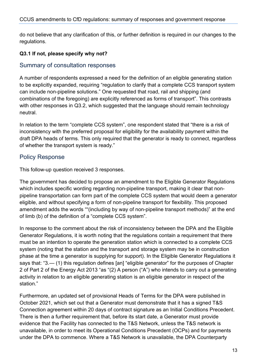do not believe that any clarification of this, or further definition is required in our changes to the regulations.

#### **Q3.1 If not, please specify why not?**

#### Summary of consultation responses

A number of respondents expressed a need for the definition of an eligible generating station to be explicitly expanded, requiring "regulation to clarify that a complete CCS transport system can include non-pipeline solutions." One requested that road, rail and shipping (and combinations of the foregoing) are explicitly referenced as forms of transport". This contrasts with other responses in Q3.2, which suggested that the language should remain technology neutral.

In relation to the term "complete CCS system", one respondent stated that "there is a risk of inconsistency with the preferred proposal for eligibility for the availability payment within the draft DPA heads of terms. This only required that the generator is ready to connect, regardless of whether the transport system is ready."

#### Policy Response

This follow-up question received 3 responses.

The government has decided to propose an amendment to the Eligible Generator Regulations which includes specific wording regarding non-pipeline transport, making it clear that nonpipeline transportation can form part of the complete CCS system that would deem a generator eligible, and without specifying a form of non-pipeline transport for flexibility. This proposed amendment adds the words ""(including by way of non-pipeline transport methods)" at the end of limb (b) of the definition of a "complete CCS system".

In response to the comment about the risk of inconsistency between the DPA and the Eligible Generator Regulations, it is worth noting that the regulations contain a requirement that there must be an intention to operate the generation station which is connected to a complete CCS system (noting that the station and the transport and storage system may be in construction phase at the time a generator is supplying for support). In the Eligible Generator Regulations it says that: "3.— (1) this regulation defines [an] "eligible generator" for the purposes of Chapter 2 of Part 2 of the Energy Act 2013 "as "(2) A person ("A") who intends to carry out a generating activity in relation to an eligible generating station is an eligible generator in respect of the station."

Furthermore, an updated set of provisional Heads of Terms for the DPA were published in October 2021, which set out that a Generator must demonstrate that it has a signed T&S Connection agreement within 20 days of contract signature as an Initial Conditions Precedent. There is then a further requirement that, before its start date, a Generator must provide evidence that the Facility has connected to the T&S Network, unless the T&S network is unavailable, in order to meet its Operational Conditions Precedent (OCPs) and for payments under the DPA to commence. Where a T&S Network is unavailable, the DPA Counterparty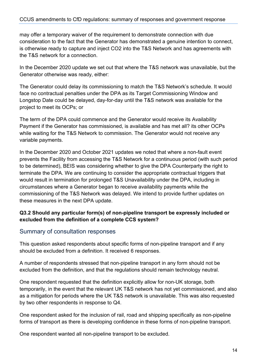may offer a temporary waiver of the requirement to demonstrate connection with due consideration to the fact that the Generator has demonstrated a genuine intention to connect, is otherwise ready to capture and inject CO2 into the T&S Network and has agreements with the T&S network for a connection.

In the December 2020 update we set out that where the T&S network was unavailable, but the Generator otherwise was ready, either:

The Generator could delay its commissioning to match the T&S Network's schedule. It would face no contractual penalties under the DPA as its Target Commissioning Window and Longstop Date could be delayed, day-for-day until the T&S network was available for the project to meet its OCPs; or

The term of the DPA could commence and the Generator would receive its Availability Payment if the Generator has commissioned, is available and has met all? its other OCPs while waiting for the T&S Network to commission. The Generator would not receive any variable payments.

In the December 2020 and October 2021 updates we noted that where a non-fault event prevents the Facility from accessing the T&S Network for a continuous period (with such period to be determined), BEIS was considering whether to give the DPA Counterparty the right to terminate the DPA. We are continuing to consider the appropriate contractual triggers that would result in termination for prolonged T&S Unavailability under the DPA, including in circumstances where a Generator began to receive availability payments while the commissioning of the T&S Network was delayed. We intend to provide further updates on these measures in the next DPA update.

#### **Q3.2 Should any particular form(s) of non-pipeline transport be expressly included or excluded from the definition of a complete CCS system?**

#### Summary of consultation responses

This question asked respondents about specific forms of non-pipeline transport and if any should be excluded from a definition. It received 6 responses.

A number of respondents stressed that non-pipeline transport in any form should not be excluded from the definition, and that the regulations should remain technology neutral.

One respondent requested that the definition explicitly allow for non-UK storage, both temporarily, in the event that the relevant UK T&S network has not yet commissioned, and also as a mitigation for periods where the UK T&S network is unavailable. This was also requested by two other respondents in response to Q4.

One respondent asked for the inclusion of rail, road and shipping specifically as non-pipeline forms of transport as there is developing confidence in these forms of non-pipeline transport.

One respondent wanted all non-pipeline transport to be excluded.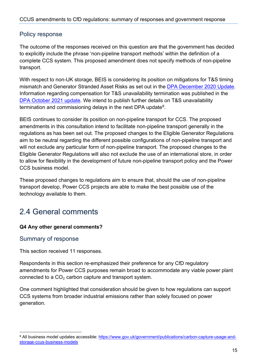#### Policy response

The outcome of the responses received on this question are that the government has decided to explicitly include the phrase 'non-pipeline transport methods' within the definition of a complete CCS system. This proposed amendment does not specify methods of non-pipeline transport.

With respect to non-UK storage, BEIS is considering its position on mitigations for T&S timing mismatch and Generator Stranded Asset Risks as set out in the [DPA December 2020 Update.](https://assets.publishing.service.gov.uk/government/uploads/system/uploads/attachment_data/file/946561/ccus-business-models-commercial-update.pdf) Information regarding compensation for T&S unavailability termination was published in the [DPA October 2021 update.](https://assets.publishing.service.gov.uk/government/uploads/system/uploads/attachment_data/file/1023071/dpa-business-model-october-2021.pdf) We intend to publish further details on T&S unavailability termination and commissioning delays in the next DPA update $8$ .

BEIS continues to consider its position on non-pipeline transport for CCS. The proposed amendments in this consultation intend to facilitate non-pipeline transport generally in the regulations as has been set out. The proposed changes to the Eligible Generator Regulations aim to be neutral regarding the different possible configurations of non-pipeline transport and will not exclude any particular form of non-pipeline transport. The proposed changes to the Eligible Generator Regulations will also not exclude the use of an international store, in order to allow for flexibility in the development of future non-pipeline transport policy and the Power CCS business model.

These proposed changes to regulations aim to ensure that, should the use of non-pipeline transport develop, Power CCS projects are able to make the best possible use of the technology available to them.

## <span id="page-14-0"></span>2.4 General comments

#### **Q4 Any other general comments?**

#### Summary of response

This section received 11 responses.

Respondents in this section re-emphasized their preference for any CfD regulatory amendments for Power CCS purposes remain broad to accommodate any viable power plant connected to a  $CO<sub>2</sub>$  carbon capture and transport system.

One comment highlighted that consideration should be given to how regulations can support CCS systems from broader industrial emissions rather than solely focused on power generation.

<span id="page-14-1"></span><sup>8</sup> All business model updates accessible: [https://www.gov.uk/government/publications/carbon-capture-usage-and](https://www.gov.uk/government/publications/carbon-capture-usage-and-storage-ccus-business-models)[storage-ccus-business-models](https://www.gov.uk/government/publications/carbon-capture-usage-and-storage-ccus-business-models)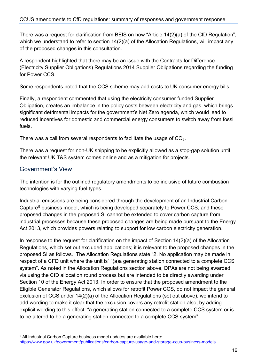There was a request for clarification from BEIS on how "Article 14(2)(a) of the CfD Regulation", which we understand to refer to section 14(2)(a) of the Allocation Regulations, will impact any of the proposed changes in this consultation.

A respondent highlighted that there may be an issue with the Contracts for Difference (Electricity Supplier Obligations) Regulations 2014 Supplier Obligations regarding the funding for Power CCS.

Some respondents noted that the CCS scheme may add costs to UK consumer energy bills.

Finally, a respondent commented that using the electricity consumer funded Supplier Obligation, creates an imbalance in the policy costs between electricity and gas, which brings significant detrimental impacts for the government's Net Zero agenda, which would lead to reduced incentives for domestic and commercial energy consumers to switch away from fossil fuels.

There was a call from several respondents to facilitate the usage of  $CO<sub>2</sub>$ .

There was a request for non-UK shipping to be explicitly allowed as a stop-gap solution until the relevant UK T&S system comes online and as a mitigation for projects.

#### Government's View

The intention is for the outlined regulatory amendments to be inclusive of future combustion technologies with varying fuel types.

Industrial emissions are being considered through the development of an Industrial Carbon Capture<sup>[9](#page-15-0)</sup> business model, which is being developed separately to Power CCS, and these proposed changes in the proposed SI cannot be extended to cover carbon capture from industrial processes because these proposed changes are being made pursuant to the Energy Act 2013, which provides powers relating to support for low carbon electricity generation.

In response to the request for clarification on the impact of Section 14(2)(a) of the Allocation Regulations, which set out excluded applications; it is relevant to the proposed changes in the proposed SI as follows. The Allocation Regulations state "2. No application may be made in respect of a CFD unit where the unit is" "(a)a generating station connected to a complete CCS system". As noted in the Allocation Regulations section above, DPAs are not being awarded via using the CfD allocation round process but are intended to be directly awarding under Section 10 of the Energy Act 2013. In order to ensure that the proposed amendment to the Eligible Generator Regulations, which allows for retrofit Power CCS, do not impact the general exclusion of CCS under 14(2)(a) of the Allocation Regulations (set out above), we intend to add wording to make it clear that the exclusion covers any retrofit station also, by adding explicit wording to this effect: "a generating station connected to a complete CCS system or is to be altered to be a generating station connected to a complete CCS system"

<span id="page-15-0"></span><sup>&</sup>lt;sup>9</sup> All Industrial Carbon Capture business model updates are available here: <https://www.gov.uk/government/publications/carbon-capture-usage-and-storage-ccus-business-models>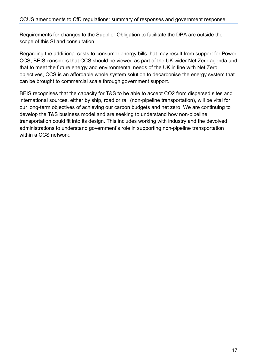Requirements for changes to the Supplier Obligation to facilitate the DPA are outside the scope of this SI and consultation.

Regarding the additional costs to consumer energy bills that may result from support for Power CCS, BEIS considers that CCS should be viewed as part of the UK wider Net Zero agenda and that to meet the future energy and environmental needs of the UK in line with Net Zero objectives, CCS is an affordable whole system solution to decarbonise the energy system that can be brought to commercial scale through government support.

BEIS recognises that the capacity for T&S to be able to accept CO2 from dispersed sites and international sources, either by ship, road or rail (non-pipeline transportation), will be vital for our long-term objectives of achieving our carbon budgets and net zero. We are continuing to develop the T&S business model and are seeking to understand how non-pipeline transportation could fit into its design. This includes working with industry and the devolved administrations to understand government's role in supporting non-pipeline transportation within a CCS network.